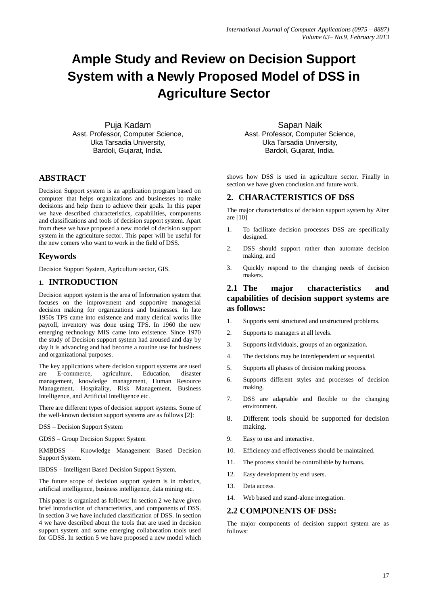# **Ample Study and Review on Decision Support System with a Newly Proposed Model of DSS in Agriculture Sector**

Puja Kadam Asst. Professor, Computer Science, Uka Tarsadia University, Bardoli, Gujarat, India.

## **ABSTRACT**

Decision Support system is an application program based on computer that helps organizations and businesses to make decisions and help them to achieve their goals. In this paper we have described characteristics, capabilities, components and classifications and tools of decision support system. Apart from these we have proposed a new model of decision support system in the agriculture sector. This paper will be useful for the new comers who want to work in the field of DSS.

## **Keywords**

Decision Support System, Agriculture sector, GIS.

## **1. INTRODUCTION**

Decision support system is the area of Information system that focuses on the improvement and supportive managerial decision making for organizations and businesses. In late 1950s TPS came into existence and many clerical works like payroll, inventory was done using TPS. In 1960 the new emerging technology MIS came into existence. Since 1970 the study of Decision support system had aroused and day by day it is advancing and had become a routine use for business and organizational purposes.

The key applications where decision support systems are used are E-commerce, agriculture, Education, disaster management, knowledge management, Human Resource Management, Hospitality, Risk Management, Business Intelligence, and Artificial Intelligence etc.

There are different types of decision support systems. Some of the well-known decision support systems are as follows [2]:

DSS – Decision Support System

GDSS – Group Decision Support System

KMBDSS – Knowledge Management Based Decision Support System.

IBDSS – Intelligent Based Decision Support System.

The future scope of decision support system is in robotics, artificial intelligence, business intelligence, data mining etc.

This paper is organized as follows: In section 2 we have given brief introduction of characteristics, and components of DSS. In section 3 we have included classification of DSS. In section 4 we have described about the tools that are used in decision support system and some emerging collaboration tools used for GDSS. In section 5 we have proposed a new model which

Sapan Naik Asst. Professor, Computer Science, Uka Tarsadia University, Bardoli, Gujarat, India.

shows how DSS is used in agriculture sector. Finally in section we have given conclusion and future work.

#### **2. CHARACTERISTICS OF DSS**

The major characteristics of decision support system by Alter are [10]

- 1. To facilitate decision processes DSS are specifically designed.
- 2. DSS should support rather than automate decision making, and
- 3. Quickly respond to the changing needs of decision makers.

#### **2.1 The major characteristics and capabilities of decision support systems are as follows:**

- 1. Supports semi structured and unstructured problems.
- 2. Supports to managers at all levels.
- 3. Supports individuals, groups of an organization.
- 4. The decisions may be interdependent or sequential.
- 5. Supports all phases of decision making process.
- 6. Supports different styles and processes of decision making.
- 7. DSS are adaptable and flexible to the changing environment.
- 8. Different tools should be supported for decision making.
- 9. Easy to use and interactive.
- 10. Efficiency and effectiveness should be maintained.
- 11. The process should be controllable by humans.
- 12. Easy development by end users.
- 13. Data access.
- 14. Web based and stand-alone integration.

#### **2.2 COMPONENTS OF DSS:**

The major components of decision support system are as follows: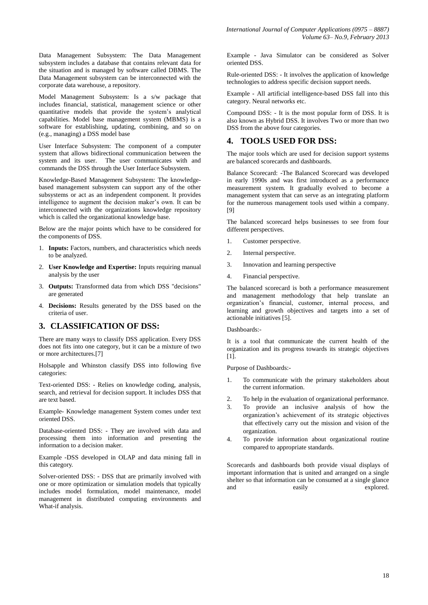Data Management Subsystem: The Data Management subsystem includes a database that contains relevant data for the situation and is managed by software called DBMS. The Data Management subsystem can be interconnected with the corporate data warehouse, a repository.

Model Management Subsystem: Is a s/w package that includes financial, statistical, management science or other quantitative models that provide the system's analytical capabilities. Model base management system (MBMS) is a software for establishing, updating, combining, and so on (e.g., managing) a DSS model base

User Interface Subsystem: The component of a computer system that allows bidirectional communication between the system and its user. The user communicates with and commands the DSS through the User Interface Subsystem.

Knowledge-Based Management Subsystem: The knowledgebased management subsystem can support any of the other subsystems or act as an independent component. It provides intelligence to augment the decision maker's own. It can be interconnected with the organizations knowledge repository which is called the organizational knowledge base.

Below are the major points which have to be considered for the components of DSS.

- 1. **Inputs:** Factors, numbers, and characteristics which needs to be analyzed.
- 2. **User Knowledge and Expertise:** Inputs requiring manual analysis by the user
- 3. **Outputs:** Transformed data from which DSS "decisions" are generated
- 4. **Decisions:** Results generated by the DSS based on the criteria of user.

#### **3. CLASSIFICATION OF DSS:**

There are many ways to classify DSS application. Every DSS does not fits into one category, but it can be a mixture of two or more architectures.[7]

Holsapple and Whinston classify DSS into following five categories:

Text-oriented DSS: - Relies on knowledge coding, analysis, search, and retrieval for decision support. It includes DSS that are text based.

Example- Knowledge management System comes under text oriented DSS.

Database-oriented DSS: - They are involved with data and processing them into information and presenting the information to a decision maker.

Example -DSS developed in OLAP and data mining fall in this category.

Solver-oriented DSS: - DSS that are primarily involved with one or more optimization or simulation models that typically includes model formulation, model maintenance, model management in distributed computing environments and What-if analysis.

Example - Java Simulator can be considered as Solver oriented DSS.

Rule-oriented DSS: - It involves the application of knowledge technologies to address specific decision support needs.

Example - All artificial intelligence-based DSS fall into this category. Neural networks etc.

Compound DSS: - It is the most popular form of DSS. It is also known as Hybrid DSS. It involves Two or more than two DSS from the above four categories.

#### **4. TOOLS USED FOR DSS:**

The major tools which are used for decision support systems are balanced scorecards and dashboards.

Balance Scorecard: -The Balanced Scorecard was developed in early 1990s and was first introduced as a performance measurement system. It gradually evolved to become a management system that can serve as an integrating platform for the numerous management tools used within a company. [9]

The balanced scorecard helps businesses to see from four different perspectives.

- 1. Customer perspective.
- 2. Internal perspective.
- 3. Innovation and learning perspective
- 4. Financial perspective.

The balanced scorecard is both a performance measurement and management methodology that help translate an organization's financial, customer, internal process, and learning and growth objectives and targets into a set of actionable initiatives [5].

Dashboards:-

It is a tool that communicate the current health of the organization and its progress towards its strategic objectives [1].

Purpose of Dashboards:-

- 1. To communicate with the primary stakeholders about the current information.
- 2. To help in the evaluation of organizational performance.
- 3. To provide an inclusive analysis of how the organization's achievement of its strategic objectives that effectively carry out the mission and vision of the organization.
- 4. To provide information about organizational routine compared to appropriate standards.

Scorecards and dashboards both provide visual displays of important information that is united and arranged on a single shelter so that information can be consumed at a single glance and easily explored.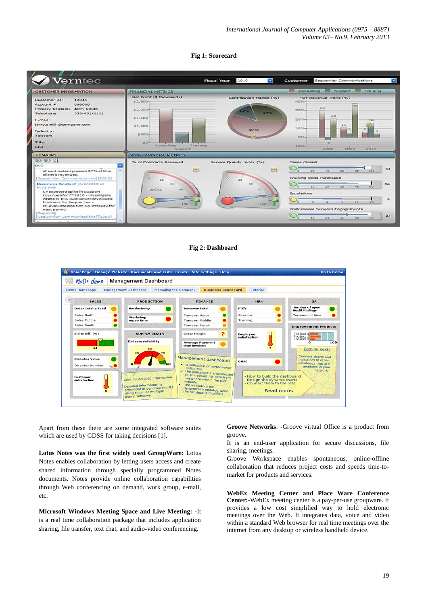#### **Fig 1: Scorecard**



#### **Fig 2: Dashboard**



Apart from these there are some integrated software suites which are used by GDSS for taking decisions [1].

**Lotus Notes was the first widely used GroupWare:** Lotus Notes enables collaboration by letting users access and create shared information through specially programmed Notes documents. Notes provide online collaboration capabilities through Web conferencing on demand, work group, e-mail, etc.

**Microsoft Windows Meeting Space and Live Meeting: -**It is a real time collaboration package that includes application sharing, file transfer, text chat, and audio-video conferencing.

**Groove Networks**: -Groove virtual Office is a product from groove.

It is an end-user application for secure discussions, file sharing, meetings.

Groove Workspace enables spontaneous, online-offline collaboration that reduces project costs and speeds time-tomarket for products and services.

**WebEx Meeting Center and Place Ware Conference Center:-**WebEx meeting center is a pay-per-use groupware. It provides a low cost simplified way to hold electronic meetings over the Web. It integrates data, voice and video within a standard Web browser for real time meetings over the internet from any desktop or wireless handheld device.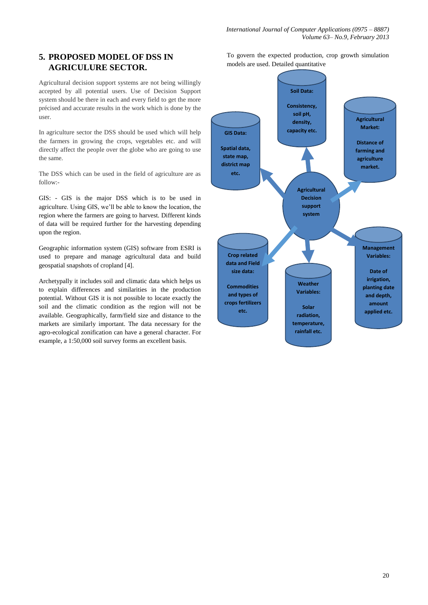## **5. PROPOSED MODEL OF DSS IN AGRICULURE SECTOR.**

Agricultural decision support systems are not being willingly accepted by all potential users. Use of Decision Support system should be there in each and every field to get the more précised and accurate results in the work which is done by the user.

In agriculture sector the DSS should be used which will help the farmers in growing the crops, vegetables etc. and will directly affect the people over the globe who are going to use the same.

The DSS which can be used in the field of agriculture are as follow:-

GIS: - GIS is the major DSS which is to be used in agriculture. Using GIS, we'll be able to know the location, the region where the farmers are going to harvest. Different kinds of data will be required further for the harvesting depending upon the region.

Geographic information system (GIS) software from ESRI is used to prepare and manage agricultural data and build geospatial snapshots of cropland [4].

Archetypally it includes soil and climatic data which helps us to explain differences and similarities in the production potential. Without GIS it is not possible to locate exactly the soil and the climatic condition as the region will not be available. Geographically, farm/field size and distance to the markets are similarly important. The data necessary for the agro-ecological zonification can have a general character. For example, a 1:50,000 soil survey forms an excellent basis.

To govern the expected production, crop growth simulation models are used. Detailed quantitative

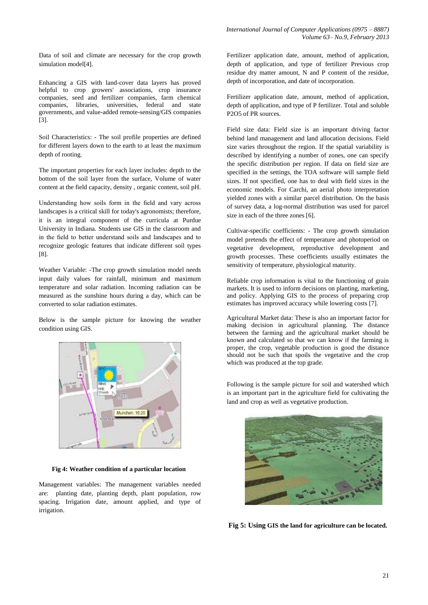Data of soil and climate are necessary for the crop growth simulation model[4].

Enhancing a GIS with land-cover data layers has proved helpful to crop growers' associations, crop insurance companies, seed and fertilizer companies, farm chemical companies, libraries, universities, federal and state governments, and value-added remote-sensing/GIS companies [3].

Soil Characteristics: - The soil profile properties are defined for different layers down to the earth to at least the maximum depth of rooting.

The important properties for each layer includes: depth to the bottom of the soil layer from the surface, Volume of water content at the field capacity, density , organic content, soil pH.

Understanding how soils form in the field and vary across landscapes is a critical skill for today's agronomists; therefore, it is an integral component of the curricula at Purdue University in Indiana. Students use GIS in the classroom and in the field to better understand soils and landscapes and to recognize geologic features that indicate different soil types [8].

Weather Variable: -The crop growth simulation model needs input daily values for rainfall, minimum and maximum temperature and solar radiation. Incoming radiation can be measured as the sunshine hours during a day, which can be converted to solar radiation estimates.

Below is the sample picture for knowing the weather condition using GIS.



**Fig 4: Weather condition of a particular location**

Management variables: The management variables needed are: planting date, planting depth, plant population, row spacing. Irrigation date, amount applied, and type of irrigation.

Fertilizer application date, amount, method of application, depth of application, and type of fertilizer Previous crop residue dry matter amount, N and P content of the residue, depth of incorporation, and date of incorporation.

Fertilizer application date, amount, method of application, depth of application, and type of P fertilizer. Total and soluble P2O5 of PR sources.

Field size data: Field size is an important driving factor behind land management and land allocation decisions. Field size varies throughout the region. If the spatial variability is described by identifying a number of zones, one can specify the specific distribution per region. If data on field size are specified in the settings, the TOA software will sample field sizes. If not specified, one has to deal with field sizes in the economic models. For Carchi, an aerial photo interpretation yielded zones with a similar parcel distribution. On the basis of survey data, a log-normal distribution was used for parcel size in each of the three zones [6].

Cultivar-specific coefficients: - The crop growth simulation model pretends the effect of temperature and photoperiod on vegetative development, reproductive development and growth processes. These coefficients usually estimates the sensitivity of temperature, physiological maturity.

Reliable crop information is vital to the functioning of grain markets. It is used to inform decisions on planting, marketing, and policy. Applying GIS to the process of preparing crop estimates has improved accuracy while lowering costs [7].

Agricultural Market data: These is also an important factor for making decision in agricultural planning. The distance between the farming and the agricultural market should be known and calculated so that we can know if the farming is proper, the crop, vegetable production is good the distance should not be such that spoils the vegetative and the crop which was produced at the top grade.

Following is the sample picture for soil and watershed which is an important part in the agriculture field for cultivating the land and crop as well as vegetative production.



**Fig 5: Using GIS the land for agriculture can be located.**